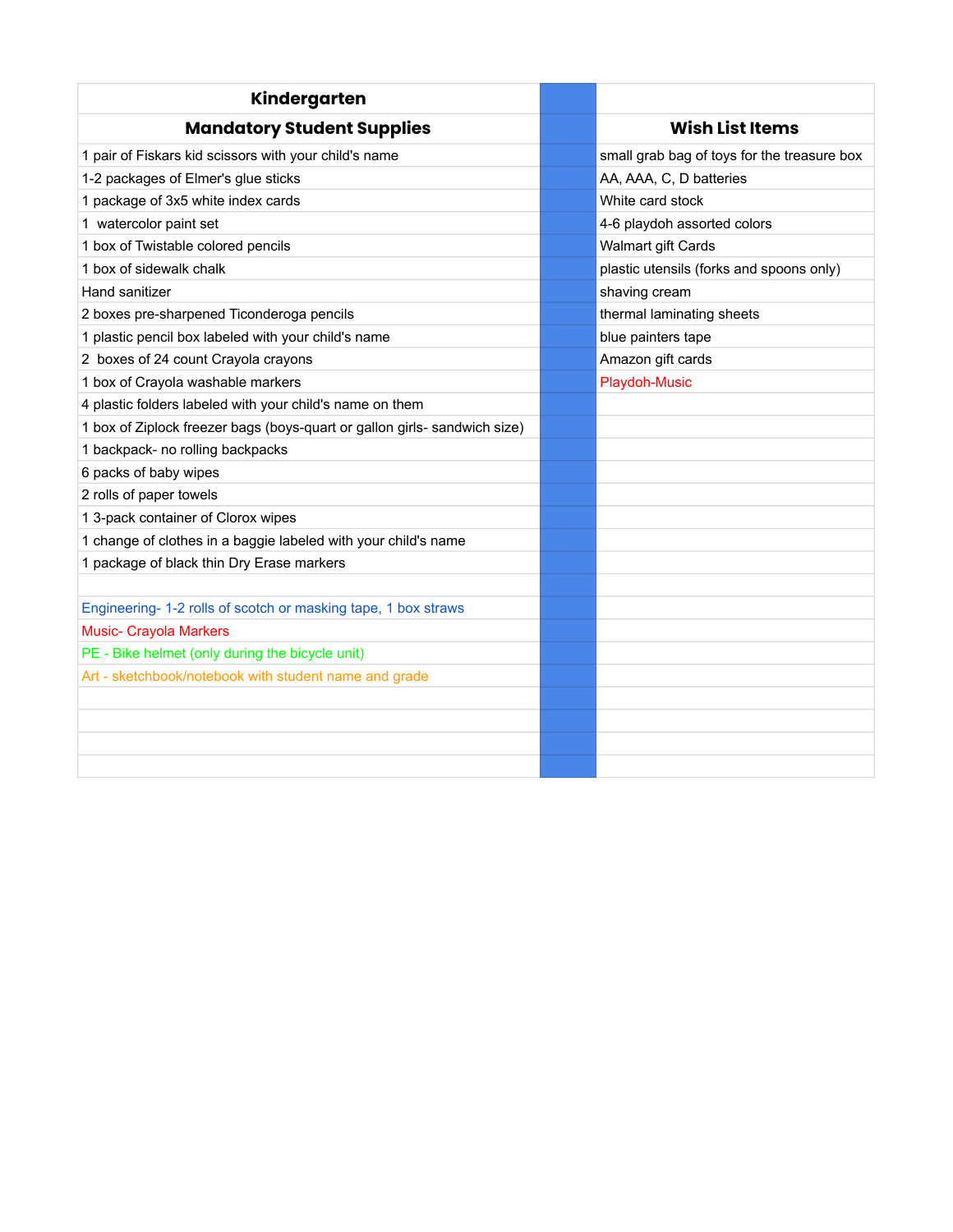| Kindergarten                                                              |                                             |
|---------------------------------------------------------------------------|---------------------------------------------|
| <b>Mandatory Student Supplies</b>                                         | <b>Wish List Items</b>                      |
| 1 pair of Fiskars kid scissors with your child's name                     | small grab bag of toys for the treasure box |
| 1-2 packages of Elmer's glue sticks                                       | AA, AAA, C, D batteries                     |
| 1 package of 3x5 white index cards                                        | White card stock                            |
| 1 watercolor paint set                                                    | 4-6 playdoh assorted colors                 |
| 1 box of Twistable colored pencils                                        | Walmart gift Cards                          |
| 1 box of sidewalk chalk                                                   | plastic utensils (forks and spoons only)    |
| Hand sanitizer                                                            | shaving cream                               |
| 2 boxes pre-sharpened Ticonderoga pencils                                 | thermal laminating sheets                   |
| 1 plastic pencil box labeled with your child's name                       | blue painters tape                          |
| 2 boxes of 24 count Crayola crayons                                       | Amazon gift cards                           |
| 1 box of Crayola washable markers                                         | Playdoh-Music                               |
| 4 plastic folders labeled with your child's name on them                  |                                             |
| 1 box of Ziplock freezer bags (boys-quart or gallon girls- sandwich size) |                                             |
| 1 backpack- no rolling backpacks                                          |                                             |
| 6 packs of baby wipes                                                     |                                             |
| 2 rolls of paper towels                                                   |                                             |
| 1 3-pack container of Clorox wipes                                        |                                             |
| 1 change of clothes in a baggie labeled with your child's name            |                                             |
| 1 package of black thin Dry Erase markers                                 |                                             |
|                                                                           |                                             |
| Engineering- 1-2 rolls of scotch or masking tape, 1 box straws            |                                             |
| <b>Music- Crayola Markers</b>                                             |                                             |
| PE - Bike helmet (only during the bicycle unit)                           |                                             |
| Art - sketchbook/notebook with student name and grade                     |                                             |
|                                                                           |                                             |
|                                                                           |                                             |
|                                                                           |                                             |
|                                                                           |                                             |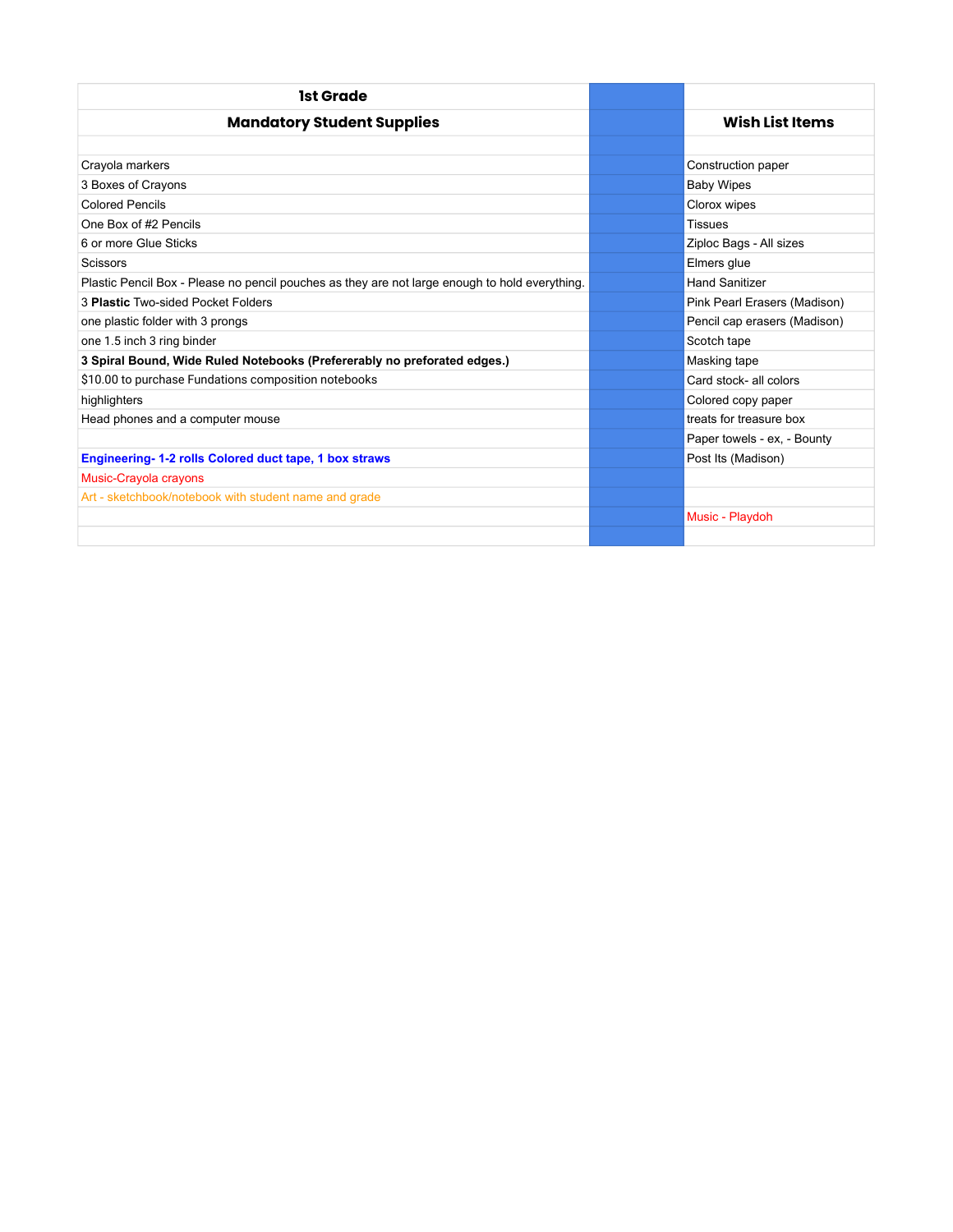| 1st Grade                                                                                      |                              |
|------------------------------------------------------------------------------------------------|------------------------------|
| <b>Mandatory Student Supplies</b>                                                              | Wish List Items              |
|                                                                                                |                              |
| Crayola markers                                                                                | Construction paper           |
| 3 Boxes of Crayons                                                                             | <b>Baby Wipes</b>            |
| <b>Colored Pencils</b>                                                                         | Clorox wipes                 |
| One Box of #2 Pencils                                                                          | <b>Tissues</b>               |
| 6 or more Glue Sticks                                                                          | Ziploc Bags - All sizes      |
| <b>Scissors</b>                                                                                | Elmers glue                  |
| Plastic Pencil Box - Please no pencil pouches as they are not large enough to hold everything. | <b>Hand Sanitizer</b>        |
| 3 Plastic Two-sided Pocket Folders                                                             | Pink Pearl Erasers (Madison) |
| one plastic folder with 3 prongs                                                               | Pencil cap erasers (Madison) |
| one 1.5 inch 3 ring binder                                                                     | Scotch tape                  |
| 3 Spiral Bound, Wide Ruled Notebooks (Prefererably no preforated edges.)                       | Masking tape                 |
| \$10.00 to purchase Fundations composition notebooks                                           | Card stock- all colors       |
| highlighters                                                                                   | Colored copy paper           |
| Head phones and a computer mouse                                                               | treats for treasure box      |
|                                                                                                | Paper towels - ex, - Bounty  |
| Engineering-1-2 rolls Colored duct tape, 1 box straws                                          | Post Its (Madison)           |
| Music-Crayola crayons                                                                          |                              |
| Art - sketchbook/notebook with student name and grade                                          |                              |
|                                                                                                | Music - Playdoh              |
|                                                                                                |                              |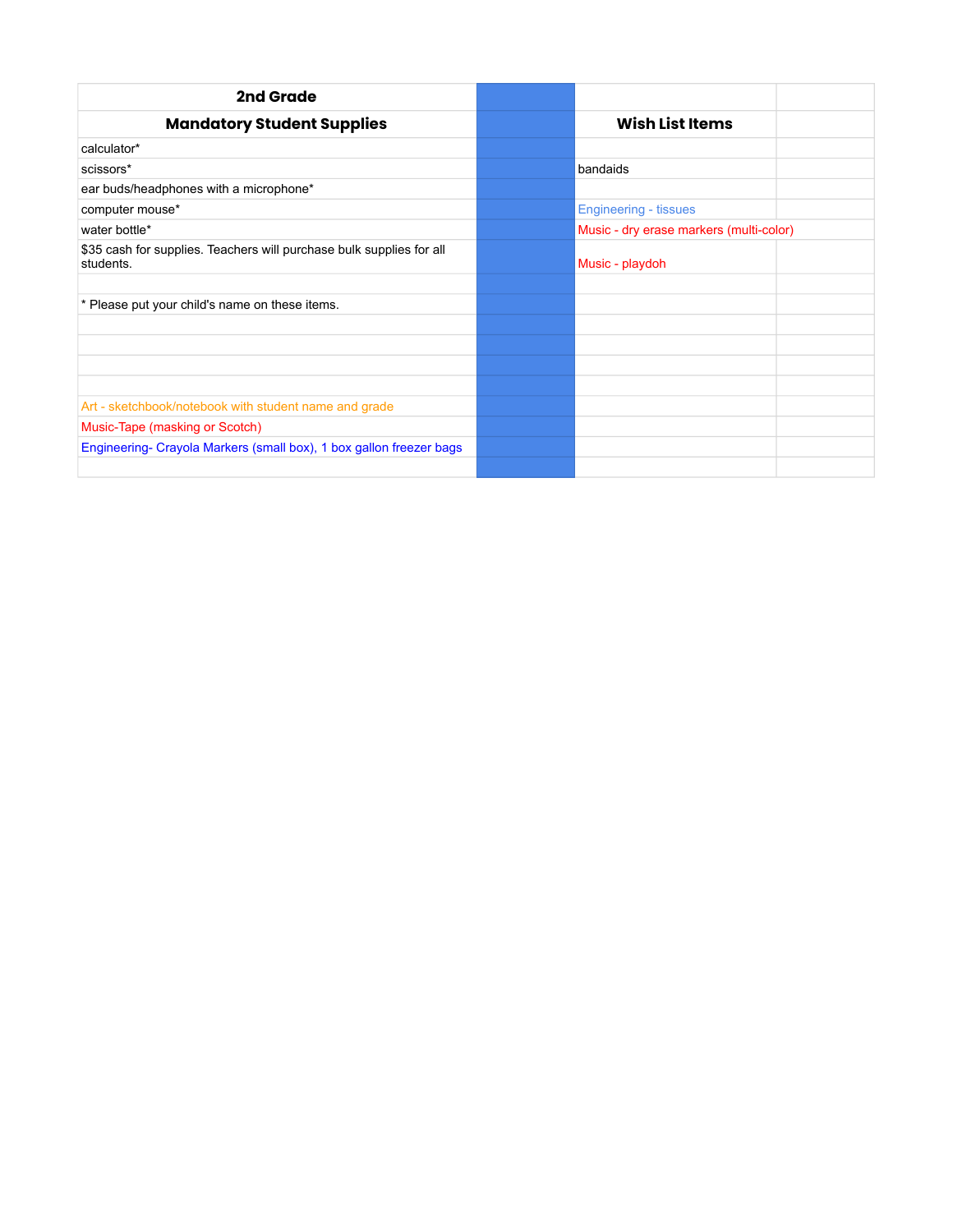| 2nd Grade                                                                         |                                         |  |  |
|-----------------------------------------------------------------------------------|-----------------------------------------|--|--|
| <b>Mandatory Student Supplies</b>                                                 | <b>Wish List Items</b>                  |  |  |
| calculator*                                                                       |                                         |  |  |
| scissors*                                                                         | bandaids                                |  |  |
| ear buds/headphones with a microphone*                                            |                                         |  |  |
| computer mouse*                                                                   | <b>Engineering - tissues</b>            |  |  |
| water bottle*                                                                     | Music - dry erase markers (multi-color) |  |  |
| \$35 cash for supplies. Teachers will purchase bulk supplies for all<br>students. | Music - playdoh                         |  |  |
|                                                                                   |                                         |  |  |
| * Please put your child's name on these items.                                    |                                         |  |  |
|                                                                                   |                                         |  |  |
|                                                                                   |                                         |  |  |
|                                                                                   |                                         |  |  |
|                                                                                   |                                         |  |  |
| Art - sketchbook/notebook with student name and grade                             |                                         |  |  |
| Music-Tape (masking or Scotch)                                                    |                                         |  |  |
| Engineering- Crayola Markers (small box), 1 box gallon freezer bags               |                                         |  |  |
|                                                                                   |                                         |  |  |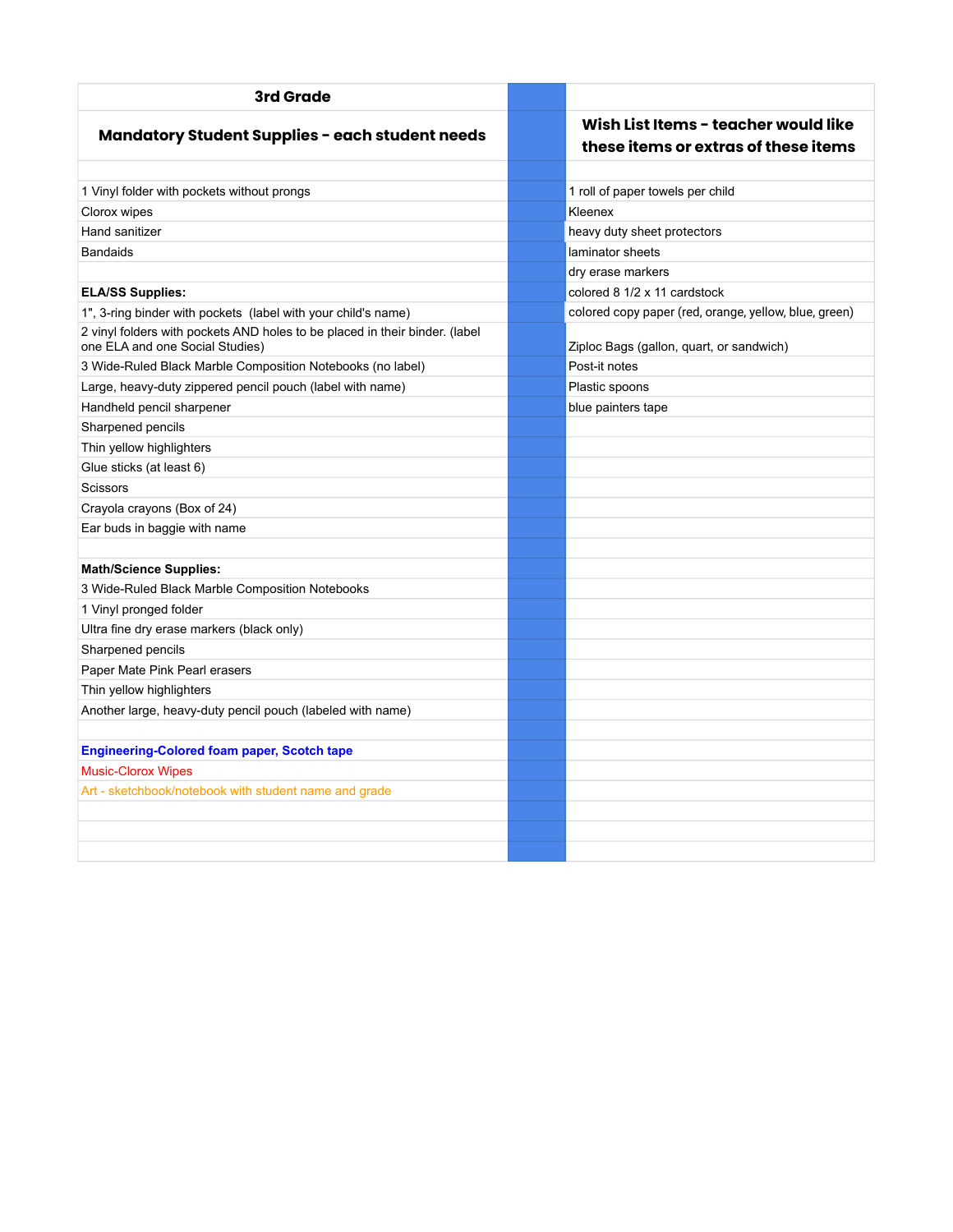| 3rd Grade                                                                                                      |                                                                              |  |  |
|----------------------------------------------------------------------------------------------------------------|------------------------------------------------------------------------------|--|--|
| <b>Mandatory Student Supplies - each student needs</b>                                                         | Wish List Items - teacher would like<br>these items or extras of these items |  |  |
| 1 Vinyl folder with pockets without prongs                                                                     | 1 roll of paper towels per child                                             |  |  |
| Clorox wipes                                                                                                   | Kleenex                                                                      |  |  |
| Hand sanitizer                                                                                                 | heavy duty sheet protectors                                                  |  |  |
| <b>Bandaids</b>                                                                                                | laminator sheets                                                             |  |  |
|                                                                                                                | dry erase markers                                                            |  |  |
| <b>ELA/SS Supplies:</b>                                                                                        | colored 8 1/2 x 11 cardstock                                                 |  |  |
| 1", 3-ring binder with pockets (label with your child's name)                                                  | colored copy paper (red, orange, yellow, blue, green)                        |  |  |
| 2 vinyl folders with pockets AND holes to be placed in their binder. (label<br>one ELA and one Social Studies) | Ziploc Bags (gallon, quart, or sandwich)                                     |  |  |
| 3 Wide-Ruled Black Marble Composition Notebooks (no label)                                                     | Post-it notes                                                                |  |  |
| Large, heavy-duty zippered pencil pouch (label with name)                                                      | Plastic spoons                                                               |  |  |
| Handheld pencil sharpener                                                                                      | blue painters tape                                                           |  |  |
| Sharpened pencils                                                                                              |                                                                              |  |  |
| Thin yellow highlighters                                                                                       |                                                                              |  |  |
| Glue sticks (at least 6)                                                                                       |                                                                              |  |  |
| <b>Scissors</b>                                                                                                |                                                                              |  |  |
| Crayola crayons (Box of 24)                                                                                    |                                                                              |  |  |
| Ear buds in baggie with name                                                                                   |                                                                              |  |  |
|                                                                                                                |                                                                              |  |  |
| <b>Math/Science Supplies:</b>                                                                                  |                                                                              |  |  |
| 3 Wide-Ruled Black Marble Composition Notebooks                                                                |                                                                              |  |  |
| 1 Vinyl pronged folder                                                                                         |                                                                              |  |  |
| Ultra fine dry erase markers (black only)                                                                      |                                                                              |  |  |
| Sharpened pencils                                                                                              |                                                                              |  |  |
| Paper Mate Pink Pearl erasers                                                                                  |                                                                              |  |  |
| Thin yellow highlighters                                                                                       |                                                                              |  |  |
| Another large, heavy-duty pencil pouch (labeled with name)                                                     |                                                                              |  |  |
|                                                                                                                |                                                                              |  |  |
| <b>Engineering-Colored foam paper, Scotch tape</b>                                                             |                                                                              |  |  |
| <b>Music-Clorox Wipes</b>                                                                                      |                                                                              |  |  |
| Art - sketchbook/notebook with student name and grade                                                          |                                                                              |  |  |
|                                                                                                                |                                                                              |  |  |
|                                                                                                                |                                                                              |  |  |
|                                                                                                                |                                                                              |  |  |
|                                                                                                                |                                                                              |  |  |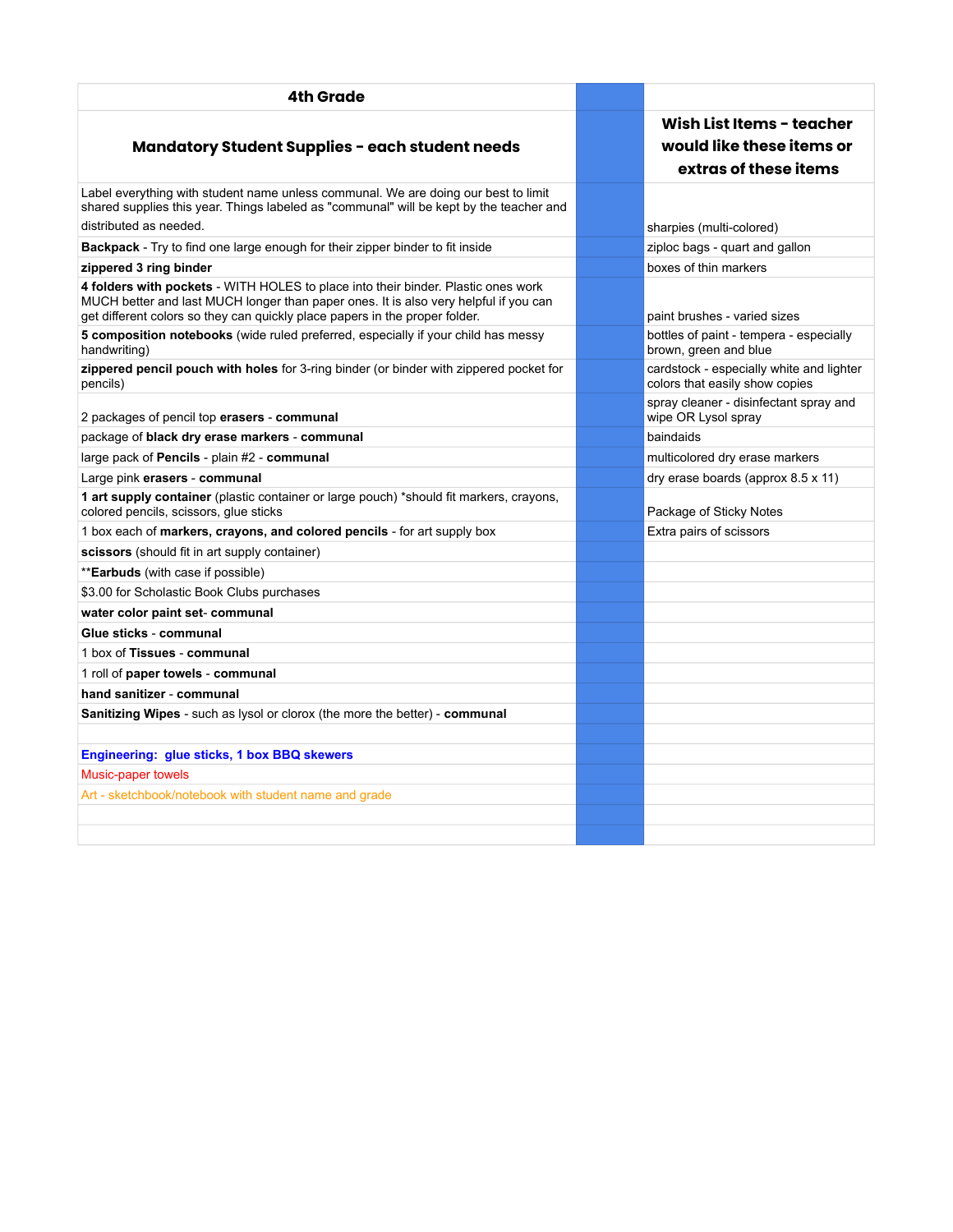| 4th Grade                                                                                                                                                                                                                                                |                                                                                 |
|----------------------------------------------------------------------------------------------------------------------------------------------------------------------------------------------------------------------------------------------------------|---------------------------------------------------------------------------------|
| <b>Mandatory Student Supplies - each student needs</b>                                                                                                                                                                                                   | Wish List Items - teacher<br>would like these items or<br>extras of these items |
| Label everything with student name unless communal. We are doing our best to limit<br>shared supplies this year. Things labeled as "communal" will be kept by the teacher and<br>distributed as needed.                                                  | sharpies (multi-colored)                                                        |
| <b>Backpack</b> - Try to find one large enough for their zipper binder to fit inside                                                                                                                                                                     | ziploc bags - quart and gallon                                                  |
| zippered 3 ring binder                                                                                                                                                                                                                                   | boxes of thin markers                                                           |
| 4 folders with pockets - WITH HOLES to place into their binder. Plastic ones work<br>MUCH better and last MUCH longer than paper ones. It is also very helpful if you can<br>get different colors so they can quickly place papers in the proper folder. | paint brushes - varied sizes                                                    |
| 5 composition notebooks (wide ruled preferred, especially if your child has messy<br>handwriting)                                                                                                                                                        | bottles of paint - tempera - especially<br>brown, green and blue                |
| zippered pencil pouch with holes for 3-ring binder (or binder with zippered pocket for<br>pencils)                                                                                                                                                       | cardstock - especially white and lighter<br>colors that easily show copies      |
| 2 packages of pencil top erasers - communal                                                                                                                                                                                                              | spray cleaner - disinfectant spray and<br>wipe OR Lysol spray                   |
| package of black dry erase markers - communal                                                                                                                                                                                                            | baindaids                                                                       |
| large pack of Pencils - plain #2 - communal                                                                                                                                                                                                              | multicolored dry erase markers                                                  |
| Large pink erasers - communal                                                                                                                                                                                                                            | dry erase boards (approx 8.5 x 11)                                              |
| 1 art supply container (plastic container or large pouch) *should fit markers, crayons,<br>colored pencils, scissors, glue sticks                                                                                                                        | Package of Sticky Notes                                                         |
| 1 box each of markers, crayons, and colored pencils - for art supply box                                                                                                                                                                                 | Extra pairs of scissors                                                         |
| scissors (should fit in art supply container)                                                                                                                                                                                                            |                                                                                 |
| ** <b>Earbuds</b> (with case if possible)                                                                                                                                                                                                                |                                                                                 |
| \$3.00 for Scholastic Book Clubs purchases                                                                                                                                                                                                               |                                                                                 |
| water color paint set- communal                                                                                                                                                                                                                          |                                                                                 |
| Glue sticks - communal                                                                                                                                                                                                                                   |                                                                                 |
| 1 box of Tissues - communal                                                                                                                                                                                                                              |                                                                                 |
| 1 roll of paper towels - communal                                                                                                                                                                                                                        |                                                                                 |
| hand sanitizer - communal                                                                                                                                                                                                                                |                                                                                 |
| <b>Sanitizing Wipes</b> - such as lysol or clorox (the more the better) - <b>communal</b>                                                                                                                                                                |                                                                                 |
|                                                                                                                                                                                                                                                          |                                                                                 |
| Engineering: glue sticks, 1 box BBQ skewers                                                                                                                                                                                                              |                                                                                 |
| Music-paper towels                                                                                                                                                                                                                                       |                                                                                 |
| Art - sketchbook/notebook with student name and grade                                                                                                                                                                                                    |                                                                                 |
|                                                                                                                                                                                                                                                          |                                                                                 |
|                                                                                                                                                                                                                                                          |                                                                                 |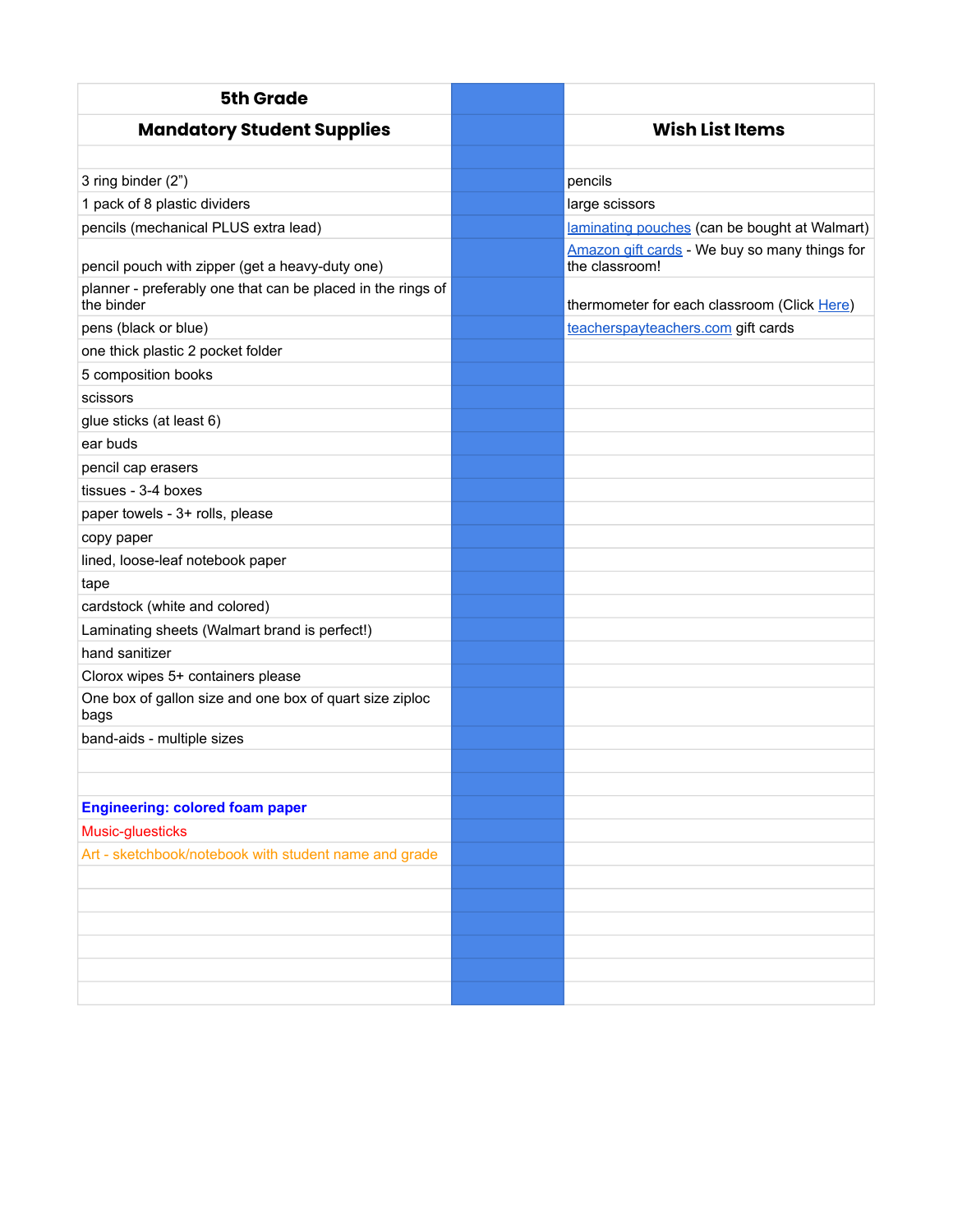| <b>5th Grade</b>                                                          |                                                                 |
|---------------------------------------------------------------------------|-----------------------------------------------------------------|
| <b>Mandatory Student Supplies</b>                                         | <b>Wish List Items</b>                                          |
|                                                                           |                                                                 |
| 3 ring binder (2")                                                        | pencils                                                         |
| 1 pack of 8 plastic dividers                                              | large scissors                                                  |
| pencils (mechanical PLUS extra lead)                                      | laminating pouches (can be bought at Walmart)                   |
| pencil pouch with zipper (get a heavy-duty one)                           | Amazon gift cards - We buy so many things for<br>the classroom! |
| planner - preferably one that can be placed in the rings of<br>the binder | thermometer for each classroom (Click Here)                     |
| pens (black or blue)                                                      | teacherspayteachers.com gift cards                              |
| one thick plastic 2 pocket folder                                         |                                                                 |
| 5 composition books                                                       |                                                                 |
| scissors                                                                  |                                                                 |
| glue sticks (at least 6)                                                  |                                                                 |
| ear buds                                                                  |                                                                 |
| pencil cap erasers                                                        |                                                                 |
| tissues - 3-4 boxes                                                       |                                                                 |
| paper towels - 3+ rolls, please                                           |                                                                 |
| copy paper                                                                |                                                                 |
| lined, loose-leaf notebook paper                                          |                                                                 |
| tape                                                                      |                                                                 |
| cardstock (white and colored)                                             |                                                                 |
| Laminating sheets (Walmart brand is perfect!)                             |                                                                 |
| hand sanitizer                                                            |                                                                 |
| Clorox wipes 5+ containers please                                         |                                                                 |
| One box of gallon size and one box of quart size ziploc<br>bags           |                                                                 |
| band-aids - multiple sizes                                                |                                                                 |
|                                                                           |                                                                 |
|                                                                           |                                                                 |
| <b>Engineering: colored foam paper</b>                                    |                                                                 |
| Music-gluesticks                                                          |                                                                 |
| Art - sketchbook/notebook with student name and grade                     |                                                                 |
|                                                                           |                                                                 |
|                                                                           |                                                                 |
|                                                                           |                                                                 |
|                                                                           |                                                                 |
|                                                                           |                                                                 |
|                                                                           |                                                                 |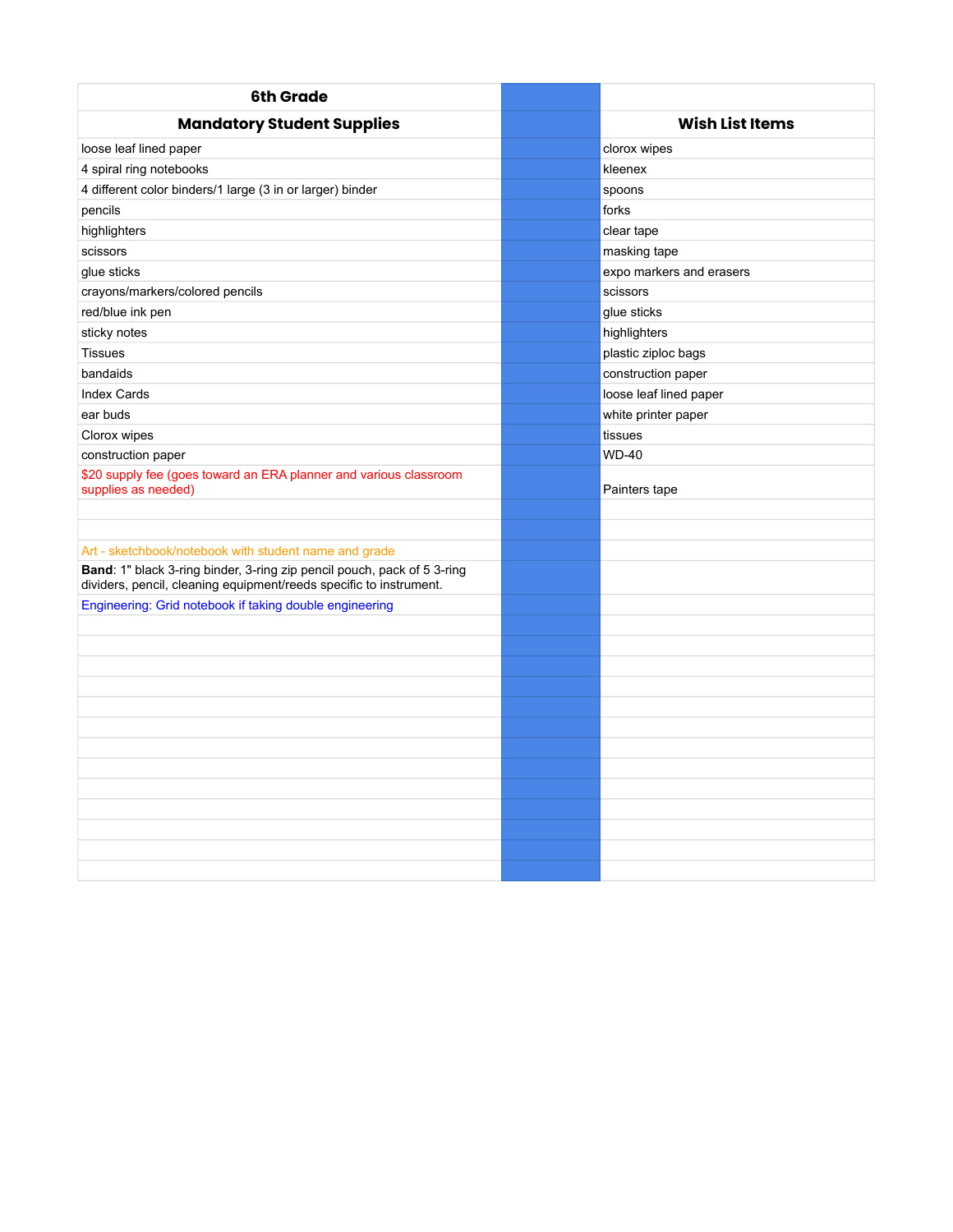| <b>6th Grade</b>                                                                                                                              |                          |  |  |
|-----------------------------------------------------------------------------------------------------------------------------------------------|--------------------------|--|--|
| <b>Mandatory Student Supplies</b>                                                                                                             | <b>Wish List Items</b>   |  |  |
| loose leaf lined paper                                                                                                                        | clorox wipes             |  |  |
| 4 spiral ring notebooks                                                                                                                       | kleenex                  |  |  |
| 4 different color binders/1 large (3 in or larger) binder                                                                                     | spoons                   |  |  |
| pencils                                                                                                                                       | forks                    |  |  |
| highlighters                                                                                                                                  | clear tape               |  |  |
| scissors                                                                                                                                      | masking tape             |  |  |
| glue sticks                                                                                                                                   | expo markers and erasers |  |  |
| crayons/markers/colored pencils                                                                                                               | scissors                 |  |  |
| red/blue ink pen                                                                                                                              | glue sticks              |  |  |
| sticky notes                                                                                                                                  | highlighters             |  |  |
| <b>Tissues</b>                                                                                                                                | plastic ziploc bags      |  |  |
| bandaids                                                                                                                                      | construction paper       |  |  |
| <b>Index Cards</b>                                                                                                                            | loose leaf lined paper   |  |  |
| ear buds                                                                                                                                      | white printer paper      |  |  |
| Clorox wipes                                                                                                                                  | tissues                  |  |  |
| construction paper                                                                                                                            | <b>WD-40</b>             |  |  |
| \$20 supply fee (goes toward an ERA planner and various classroom<br>supplies as needed)                                                      | Painters tape            |  |  |
|                                                                                                                                               |                          |  |  |
|                                                                                                                                               |                          |  |  |
| Art - sketchbook/notebook with student name and grade                                                                                         |                          |  |  |
| Band: 1" black 3-ring binder, 3-ring zip pencil pouch, pack of 5 3-ring<br>dividers, pencil, cleaning equipment/reeds specific to instrument. |                          |  |  |
| Engineering: Grid notebook if taking double engineering                                                                                       |                          |  |  |
|                                                                                                                                               |                          |  |  |
|                                                                                                                                               |                          |  |  |
|                                                                                                                                               |                          |  |  |
|                                                                                                                                               |                          |  |  |
|                                                                                                                                               |                          |  |  |
|                                                                                                                                               |                          |  |  |
|                                                                                                                                               |                          |  |  |
|                                                                                                                                               |                          |  |  |
|                                                                                                                                               |                          |  |  |
|                                                                                                                                               |                          |  |  |
|                                                                                                                                               |                          |  |  |
|                                                                                                                                               |                          |  |  |
|                                                                                                                                               |                          |  |  |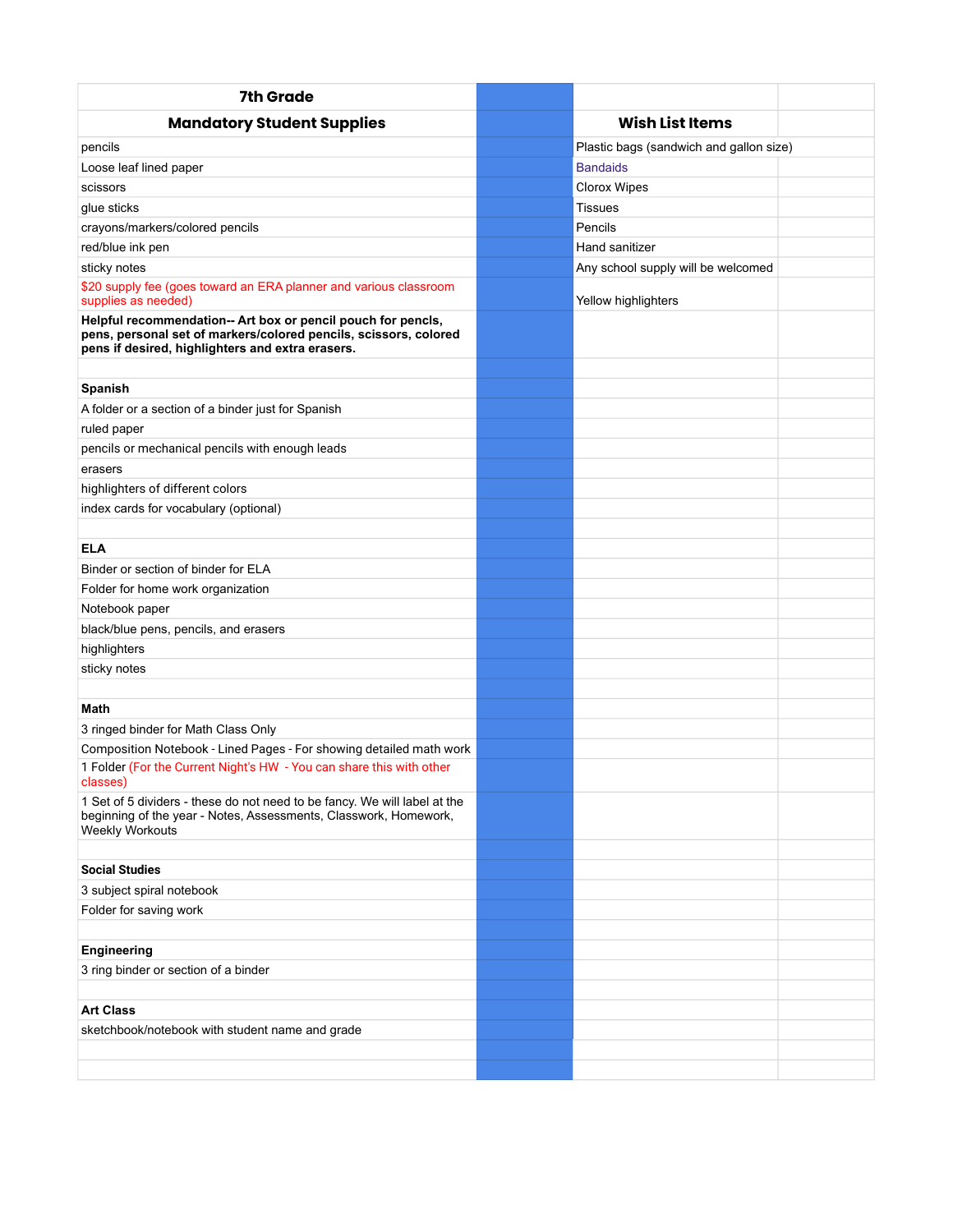| 7th Grade                                                                                                                                                                            |                                         |  |
|--------------------------------------------------------------------------------------------------------------------------------------------------------------------------------------|-----------------------------------------|--|
| <b>Mandatory Student Supplies</b>                                                                                                                                                    | <b>Wish List Items</b>                  |  |
| pencils                                                                                                                                                                              | Plastic bags (sandwich and gallon size) |  |
| Loose leaf lined paper                                                                                                                                                               | <b>Bandaids</b>                         |  |
| scissors                                                                                                                                                                             | <b>Clorox Wipes</b>                     |  |
| glue sticks                                                                                                                                                                          | Tissues                                 |  |
| crayons/markers/colored pencils                                                                                                                                                      | Pencils                                 |  |
| red/blue ink pen                                                                                                                                                                     | Hand sanitizer                          |  |
| sticky notes                                                                                                                                                                         | Any school supply will be welcomed      |  |
| \$20 supply fee (goes toward an ERA planner and various classroom<br>supplies as needed)                                                                                             | Yellow highlighters                     |  |
| Helpful recommendation-- Art box or pencil pouch for pencls,<br>pens, personal set of markers/colored pencils, scissors, colored<br>pens if desired, highlighters and extra erasers. |                                         |  |
| Spanish                                                                                                                                                                              |                                         |  |
| A folder or a section of a binder just for Spanish                                                                                                                                   |                                         |  |
| ruled paper                                                                                                                                                                          |                                         |  |
| pencils or mechanical pencils with enough leads                                                                                                                                      |                                         |  |
| erasers                                                                                                                                                                              |                                         |  |
| highlighters of different colors                                                                                                                                                     |                                         |  |
| index cards for vocabulary (optional)                                                                                                                                                |                                         |  |
|                                                                                                                                                                                      |                                         |  |
| <b>ELA</b>                                                                                                                                                                           |                                         |  |
| Binder or section of binder for ELA                                                                                                                                                  |                                         |  |
| Folder for home work organization                                                                                                                                                    |                                         |  |
| Notebook paper                                                                                                                                                                       |                                         |  |
| black/blue pens, pencils, and erasers                                                                                                                                                |                                         |  |
| highlighters                                                                                                                                                                         |                                         |  |
| sticky notes                                                                                                                                                                         |                                         |  |
|                                                                                                                                                                                      |                                         |  |
| Math                                                                                                                                                                                 |                                         |  |
| 3 ringed binder for Math Class Only                                                                                                                                                  |                                         |  |
| Composition Notebook - Lined Pages - For showing detailed math work                                                                                                                  |                                         |  |
| 1 Folder (For the Current Night's HW - You can share this with other<br>classes)                                                                                                     |                                         |  |
| 1 Set of 5 dividers - these do not need to be fancy. We will label at the<br>beginning of the year - Notes, Assessments, Classwork, Homework,<br><b>Weekly Workouts</b>              |                                         |  |
|                                                                                                                                                                                      |                                         |  |
| <b>Social Studies</b>                                                                                                                                                                |                                         |  |
| 3 subject spiral notebook                                                                                                                                                            |                                         |  |
| Folder for saving work                                                                                                                                                               |                                         |  |
|                                                                                                                                                                                      |                                         |  |
| <b>Engineering</b>                                                                                                                                                                   |                                         |  |
| 3 ring binder or section of a binder                                                                                                                                                 |                                         |  |
|                                                                                                                                                                                      |                                         |  |
| <b>Art Class</b>                                                                                                                                                                     |                                         |  |
| sketchbook/notebook with student name and grade                                                                                                                                      |                                         |  |
|                                                                                                                                                                                      |                                         |  |
|                                                                                                                                                                                      |                                         |  |